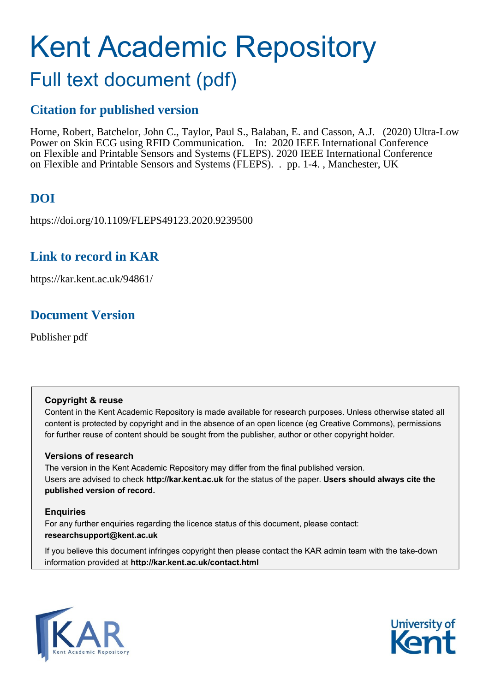# Kent Academic Repository

## Full text document (pdf)

## **Citation for published version**

Horne, Robert, Batchelor, John C., Taylor, Paul S., Balaban, E. and Casson, A.J. (2020) Ultra-Low Power on Skin ECG using RFID Communication. In: 2020 IEEE International Conference on Flexible and Printable Sensors and Systems (FLEPS). 2020 IEEE International Conference on Flexible and Printable Sensors and Systems (FLEPS). . pp. 1-4. , Manchester, UK

## **DOI**

https://doi.org/10.1109/FLEPS49123.2020.9239500

## **Link to record in KAR**

https://kar.kent.ac.uk/94861/

## **Document Version**

Publisher pdf

#### **Copyright & reuse**

Content in the Kent Academic Repository is made available for research purposes. Unless otherwise stated all content is protected by copyright and in the absence of an open licence (eg Creative Commons), permissions for further reuse of content should be sought from the publisher, author or other copyright holder.

#### **Versions of research**

The version in the Kent Academic Repository may differ from the final published version. Users are advised to check **http://kar.kent.ac.uk** for the status of the paper. **Users should always cite the published version of record.**

#### **Enquiries**

For any further enquiries regarding the licence status of this document, please contact: **researchsupport@kent.ac.uk**

If you believe this document infringes copyright then please contact the KAR admin team with the take-down information provided at **http://kar.kent.ac.uk/contact.html**



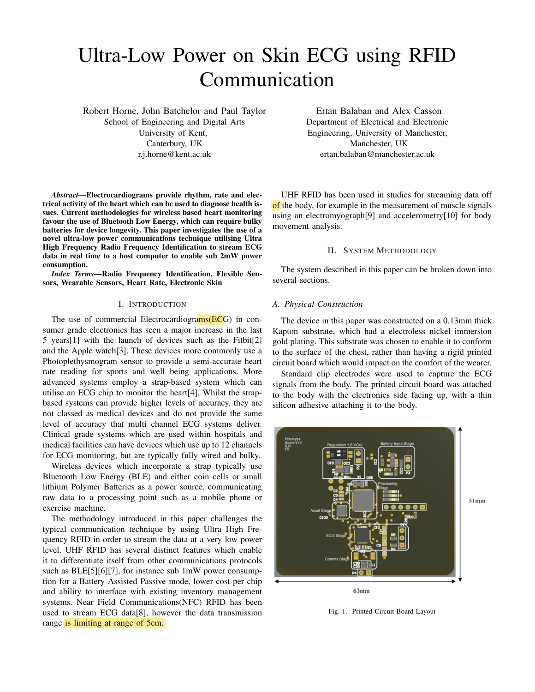## Ultra-Low Power on Skin ECG using RFID Communication

Robert Horne, John Batchelor and Paul Taylor School of Engineering and Digital Arts University of Kent, Canterbury, UK r.j.horne@kent.ac.uk

*Abstract*—Electrocardiograms provide rhythm, rate and electrical activity of the heart which can be used to diagnose health issues. Current methodologies for wireless based heart monitoring favour the use of Bluetooth Low Energy, which can require bulky batteries for device longevity. This paper investigates the use of a novel ultra-low power communications technique utilising Ultra High Frequency Radio Frequency Identification to stream ECG data in real time to a host computer to enable sub 2mW power consumption.

*Index Terms*—Radio Frequency Identification, Flexible Sensors, Wearable Sensors, Heart Rate, Electronic Skin

#### I. INTRODUCTION

The use of commercial Electrocardiograms(ECG) in consumer grade electronics has seen a major increase in the last 5 years[1] with the launch of devices such as the Fitbit[2] and the Apple watch[3]. These devices more commonly use a Photoplethysmogram sensor to provide a semi-accurate heart rate reading for sports and well being applications. More advanced systems employ a strap-based system which can utilise an ECG chip to monitor the heart[4]. Whilst the strapbased systems can provide higher levels of accuracy, they are not classed as medical devices and do not provide the same level of accuracy that multi channel ECG systems deliver. Clinical grade systems which are used within hospitals and medical facilities can have devices which use up to 12 channels for ECG monitoring, but are typically fully wired and bulky.

Wireless devices which incorporate a strap typically use Bluetooth Low Energy (BLE) and either coin cells or small lithium Polymer Batteries as a power source, communicating raw data to a processing point such as a mobile phone or exercise machine.

The methodology introduced in this paper challenges the typical communication technique by using Ultra High Frequency RFID in order to stream the data at a very low power level. UHF RFID has several distinct features which enable it to differentiate itself from other communications protocols such as BLE[5][6][7], for instance sub 1mW power consumption for a Battery Assisted Passive mode, lower cost per chip and ability to interface with existing inventory management systems. Near Field Communications(NFC) RFID has been used to stream ECG data[8], however the data transmission range is limiting at range of 5cm.

Ertan Balaban and Alex Casson Department of Electrical and Electronic Engineering, University of Manchester, Manchester, UK ertan.balaban@manchester.ac.uk

UHF RFID has been used in studies for streaming data off of the body, for example in the measurement of muscle signals using an electromyograph[9] and accelerometry[10] for body movement analysis.

#### II. SYSTEM METHODOLOGY

The system described in this paper can be broken down into several sections.

#### *A. Physical Construction*

The device in this paper was constructed on a 0.13mm thick Kapton substrate, which had a electroless nickel immersion gold plating. This substrate was chosen to enable it to conform to the surface of the chest, rather than having a rigid printed circuit board which would impact on the comfort of the wearer.

Standard clip electrodes were used to capture the ECG signals from the body. The printed circuit board was attached to the body with the electronics side facing up, with a thin silicon adhesive attaching it to the body.



Fig. 1. Printed Circuit Board Layout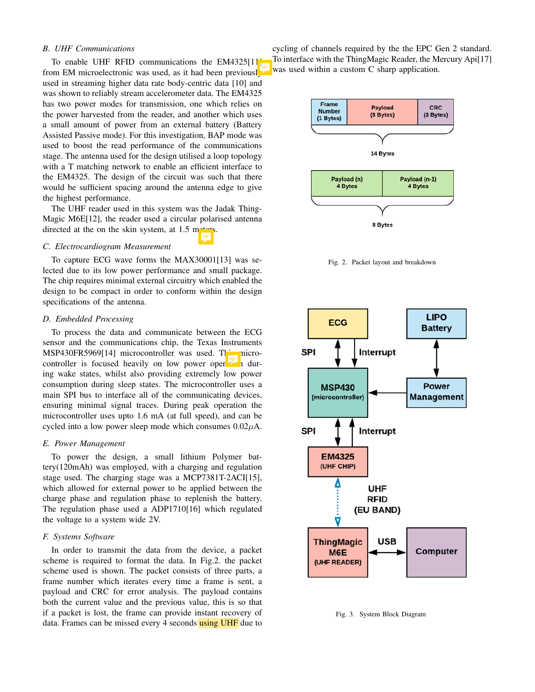#### *B. UHF Communications*

To enable UHF RFID communications the EM4325[11] from EM microelectronic was used, as it had been previousl used in streaming higher data rate body-centric data [10] and was shown to reliably stream accelerometer data. The EM4325 has two power modes for transmission, one which relies on the power harvested from the reader, and another which uses a small amount of power from an external battery (Battery Assisted Passive mode). For this investigation, BAP mode was used to boost the read performance of the communications stage. The antenna used for the design utilised a loop topology with a T matching network to enable an efficient interface to the EM4325. The design of the circuit was such that there would be sufficient spacing around the antenna edge to give the highest performance.

The UHF reader used in this system was the Jadak Thing-Magic M6E[12], the reader used a circular polarised antenna directed at the on the skin system, at  $1.5$  met

#### *C. Electrocardiogram Measurement*

To capture ECG wave forms the MAX30001[13] was selected due to its low power performance and small package. The chip requires minimal external circuitry which enabled the design to be compact in order to conform within the design specifications of the antenna.

#### *D. Embedded Processing*

To process the data and communicate between the ECG sensor and the communications chip, the Texas Instruments MSP430FR5969[14] microcontroller was used. This microcontroller is focused heavily on low power oper  $\overline{t}$  during wake states, whilst also providing extremely low power consumption during sleep states. The microcontroller uses a main SPI bus to interface all of the communicating devices, ensuring minimal signal traces. During peak operation the microcontroller uses upto 1.6 mA (at full speed), and can be cycled into a low power sleep mode which consumes  $0.02\mu$ A.

#### *E. Power Management*

To power the design, a small lithium Polymer battery(120mAh) was employed, with a charging and regulation stage used. The charging stage was a MCP7381T-2ACI[15], which allowed for external power to be applied between the charge phase and regulation phase to replenish the battery. The regulation phase used a ADP1710[16] which regulated the voltage to a system wide 2V.

#### *F. Systems Software*

In order to transmit the data from the device, a packet scheme is required to format the data. In Fig.2. the packet scheme used is shown. The packet consists of three parts, a frame number which iterates every time a frame is sent, a payload and CRC for error analysis. The payload contains both the current value and the previous value, this is so that if a packet is lost, the frame can provide instant recovery of data. Frames can be missed every 4 seconds using UHF due to

cycling of channels required by the the EPC Gen 2 standard. To interface with the ThingMagic Reader, the Mercury Api[17] was used within a custom C sharp application.



Fig. 2. Packet layout and breakdown



Fig. 3. System Block Diagram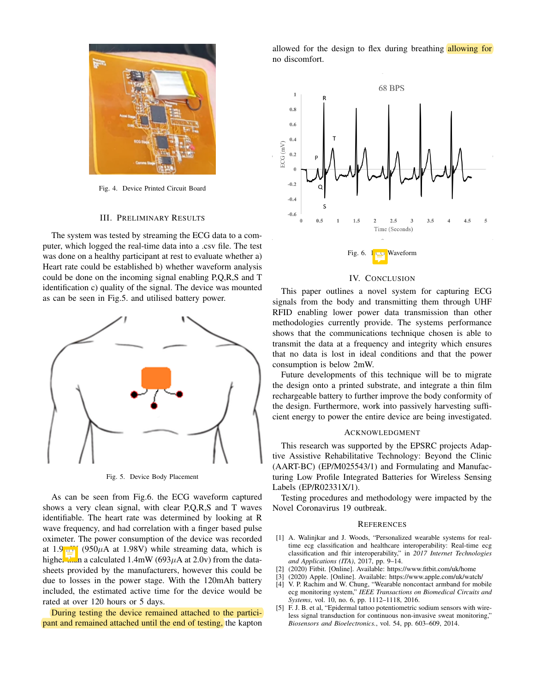

Fig. 4. Device Printed Circuit Board

#### III. PRELIMINARY RESULTS

The system was tested by streaming the ECG data to a computer, which logged the real-time data into a .csv file. The test was done on a healthy participant at rest to evaluate whether a) Heart rate could be established b) whether waveform analysis could be done on the incoming signal enabling P,Q,R,S and T identification c) quality of the signal. The device was mounted as can be seen in Fig.5. and utilised battery power.



Fig. 5. Device Body Placement

As can be seen from Fig.6. the ECG waveform captured shows a very clean signal, with clear P,Q,R,S and T waves identifiable. The heart rate was determined by looking at R wave frequency, and had correlation with a finger based pulse oximeter. The power consumption of the device was recorded at 1.9 $\mu$  (950 $\mu$ A at 1.98V) while streaming data, which is higher than a calculated 1.4mW (693 $\mu$ A at 2.0v) from the datasheets provided by the manufacturers, however this could be due to losses in the power stage. With the 120mAh battery included, the estimated active time for the device would be rated at over 120 hours or 5 days.

During testing the device remained attached to the participant and remained attached until the end of testing, the kapton allowed for the design to flex during breathing allowing for no discomfort.



#### IV. CONCLUSION

This paper outlines a novel system for capturing ECG signals from the body and transmitting them through UHF RFID enabling lower power data transmission than other methodologies currently provide. The systems performance shows that the communications technique chosen is able to transmit the data at a frequency and integrity which ensures that no data is lost in ideal conditions and that the power consumption is below 2mW.

Future developments of this technique will be to migrate the design onto a printed substrate, and integrate a thin film rechargeable battery to further improve the body conformity of the design. Furthermore, work into passively harvesting sufficient energy to power the entire device are being investigated.

#### ACKNOWLEDGMENT

This research was supported by the EPSRC projects Adaptive Assistive Rehabilitative Technology: Beyond the Clinic (AART-BC) (EP/M025543/1) and Formulating and Manufacturing Low Profile Integrated Batteries for Wireless Sensing Labels (EP/R02331X/1).

Testing procedures and methodology were impacted by the Novel Coronavirus 19 outbreak.

#### **REFERENCES**

- [1] A. Walinjkar and J. Woods, "Personalized wearable systems for realtime ecg classification and healthcare interoperability: Real-time ecg classification and fhir interoperability," in *2017 Internet Technologies and Applications (ITA)*, 2017, pp. 9–14.
- [2] (2020) Fitbit. [Online]. Available: https://www.fitbit.com/uk/home
- [3] (2020) Apple. [Online]. Available: https://www.apple.com/uk/watch/
- [4] V. P. Rachim and W. Chung, "Wearable noncontact armband for mobile ecg monitoring system," *IEEE Transactions on Biomedical Circuits and Systems*, vol. 10, no. 6, pp. 1112–1118, 2016.
- [5] F. J. B. et al, "Epidermal tattoo potentiometric sodium sensors with wireless signal transduction for continuous non-invasive sweat monitoring," *Biosensors and Bioelectronics.*, vol. 54, pp. 603–609, 2014.